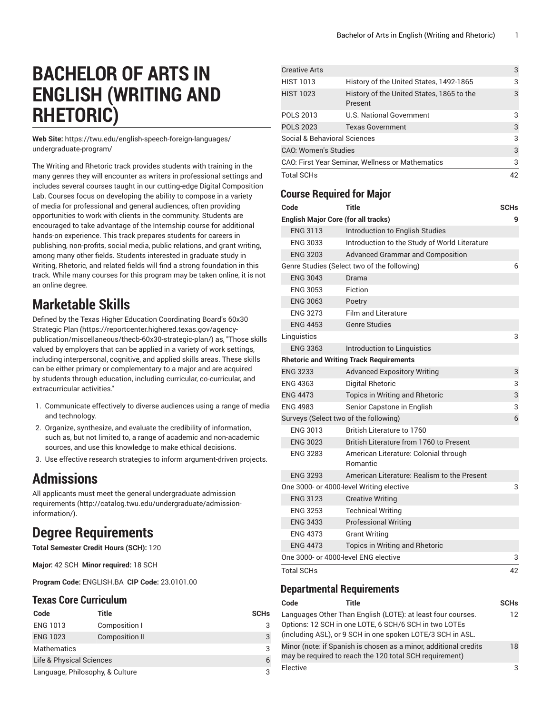# **BACHELOR OF ARTS IN ENGLISH (WRITING AND RHETORIC)**

**Web Site:** https://twu.edu/english-speech-foreign-languages/ undergraduate-program/

The Writing and Rhetoric track provides students with training in the many genres they will encounter as writers in professional settings and includes several courses taught in our cutting-edge Digital Composition Lab. Courses focus on developing the ability to compose in a variety of media for professional and general audiences, often providing opportunities to work with clients in the community. Students are encouraged to take advantage of the Internship course for additional hands-on experience. This track prepares students for careers in publishing, non-profits, social media, public relations, and grant writing, among many other fields. Students interested in graduate study in Writing, Rhetoric, and related fields will find a strong foundation in this track. While many courses for this program may be taken online, it is not an online degree.

### **Marketable Skills**

Defined by the Texas Higher Education [Coordinating](https://reportcenter.highered.texas.gov/agency-publication/miscellaneous/thecb-60x30-strategic-plan/) Board's 60x30 [Strategic Plan \(https://reportcenter.highered.texas.gov/agency](https://reportcenter.highered.texas.gov/agency-publication/miscellaneous/thecb-60x30-strategic-plan/)[publication/miscellaneous/thecb-60x30-strategic-plan/](https://reportcenter.highered.texas.gov/agency-publication/miscellaneous/thecb-60x30-strategic-plan/)) as, "Those skills valued by employers that can be applied in a variety of work settings, including interpersonal, cognitive, and applied skills areas. These skills can be either primary or complementary to a major and are acquired by students through education, including curricular, co-curricular, and extracurricular activities."

- 1. Communicate effectively to diverse audiences using a range of media and technology.
- 2. Organize, synthesize, and evaluate the credibility of information, such as, but not limited to, a range of academic and non-academic sources, and use this knowledge to make ethical decisions.
- 3. Use effective research strategies to inform argument-driven projects.

## **Admissions**

All applicants must meet the general [undergraduate](http://catalog.twu.edu/undergraduate/admission-information/) admission [requirements \(http://catalog.twu.edu/undergraduate/admission](http://catalog.twu.edu/undergraduate/admission-information/)[information/](http://catalog.twu.edu/undergraduate/admission-information/)).

## **Degree Requirements**

**Total Semester Credit Hours (SCH):** 120

**Major:** 42 SCH **Minor required:** 18 SCH

**Program Code:** ENGLISH.BA **CIP Code:** 23.0101.00

#### **Texas Core Curriculum**

| Code                            | Title                 | <b>SCHs</b> |
|---------------------------------|-----------------------|-------------|
| <b>ENG 1013</b>                 | Composition I         | 3           |
| <b>ENG 1023</b>                 | <b>Composition II</b> | 3           |
| <b>Mathematics</b>              |                       | 3           |
| Life & Physical Sciences        |                       | 6           |
| Language, Philosophy, & Culture |                       | 3           |

| <b>Creative Arts</b>                             |                                                      | 3  |
|--------------------------------------------------|------------------------------------------------------|----|
| <b>HIST 1013</b>                                 | History of the United States, 1492-1865              | 3  |
| <b>HIST 1023</b>                                 | History of the United States, 1865 to the<br>Present | 3  |
| <b>POLS 2013</b>                                 | U.S. National Government                             | 3  |
| <b>POLS 2023</b>                                 | <b>Texas Government</b>                              | 3  |
| Social & Behavioral Sciences                     |                                                      | 3  |
| <b>CAO: Women's Studies</b>                      |                                                      | 3  |
| CAO: First Year Seminar, Wellness or Mathematics |                                                      | 3  |
| <b>Total SCHs</b>                                |                                                      | 42 |

### **Course Required for Major**

| Code                                       | <b>Title</b>                                      | <b>SCHs</b> |
|--------------------------------------------|---------------------------------------------------|-------------|
| <b>English Major Core (for all tracks)</b> |                                                   | 9           |
| <b>ENG 3113</b>                            | Introduction to English Studies                   |             |
| <b>ENG 3033</b>                            | Introduction to the Study of World Literature     |             |
| <b>ENG 3203</b>                            | <b>Advanced Grammar and Composition</b>           |             |
|                                            | Genre Studies (Select two of the following)       | 6           |
| <b>ENG 3043</b>                            | Drama                                             |             |
| <b>ENG 3053</b>                            | Fiction                                           |             |
| <b>ENG 3063</b>                            | Poetry                                            |             |
| <b>ENG 3273</b>                            | <b>Film and Literature</b>                        |             |
| <b>ENG 4453</b>                            | <b>Genre Studies</b>                              |             |
| Linguistics                                |                                                   | 3           |
| <b>ENG 3363</b>                            | Introduction to Linguistics                       |             |
|                                            | <b>Rhetoric and Writing Track Requirements</b>    |             |
| <b>ENG 3233</b>                            | <b>Advanced Expository Writing</b>                | 3           |
| <b>ENG 4363</b>                            | Digital Rhetoric                                  | 3           |
| <b>ENG 4473</b>                            | <b>Topics in Writing and Rhetoric</b>             | 3           |
| <b>ENG 4983</b>                            | Senior Capstone in English                        | 3           |
| Surveys (Select two of the following)      |                                                   | 6           |
| <b>ENG 3013</b>                            | British Literature to 1760                        |             |
| <b>ENG 3023</b>                            | British Literature from 1760 to Present           |             |
| <b>ENG 3283</b>                            | American Literature: Colonial through<br>Romantic |             |
| <b>ENG 3293</b>                            | American Literature: Realism to the Present       |             |
|                                            | One 3000- or 4000-level Writing elective          | 3           |
| <b>ENG 3123</b>                            | <b>Creative Writing</b>                           |             |
| <b>ENG 3253</b>                            | <b>Technical Writing</b>                          |             |
| <b>ENG 3433</b>                            | <b>Professional Writing</b>                       |             |
| <b>ENG 4373</b>                            | <b>Grant Writing</b>                              |             |
| <b>ENG 4473</b>                            | Topics in Writing and Rhetoric                    |             |
| One 3000- or 4000-level ENG elective       |                                                   | 3           |
| <b>Total SCHs</b>                          |                                                   | 42          |
| <b>Departmental Requirements</b>           |                                                   |             |

| Code     | Title                                                                                                                                                                              | <b>SCHs</b> |
|----------|------------------------------------------------------------------------------------------------------------------------------------------------------------------------------------|-------------|
|          | Languages Other Than English (LOTE): at least four courses.<br>Options: 12 SCH in one LOTE, 6 SCH/6 SCH in two LOTEs<br>(including ASL), or 9 SCH in one spoken LOTE/3 SCH in ASL. | 12          |
|          | Minor (note: if Spanish is chosen as a minor, additional credits<br>may be required to reach the 120 total SCH requirement)                                                        | 18          |
| Elective |                                                                                                                                                                                    | 3           |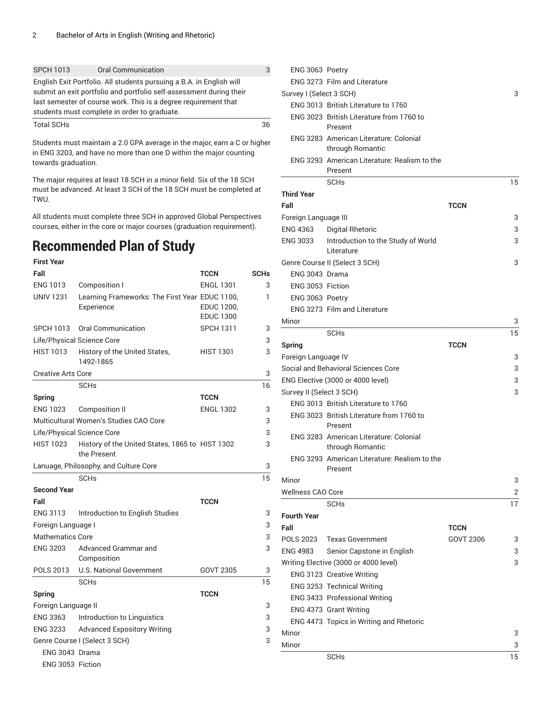| <b>SPCH 1013</b>  | <b>Oral Communication</b>                                                                                                                                                                                                                                      | 3  |
|-------------------|----------------------------------------------------------------------------------------------------------------------------------------------------------------------------------------------------------------------------------------------------------------|----|
|                   | English Exit Portfolio. All students pursuing a B.A. in English will<br>submit an exit portfolio and portfolio self-assessment during their<br>last semester of course work. This is a degree requirement that<br>students must complete in order to graduate. |    |
| <b>Total SCHs</b> |                                                                                                                                                                                                                                                                | 36 |

Students must maintain a 2.0 GPA average in the major, earn a C or higher in ENG 3203, and have no more than one D within the major counting towards graduation.

The major requires at least 18 SCH in a minor field. Six of the 18 SCH must be advanced. At least 3 SCH of the 18 SCH must be completed at TWU.

All students must complete three SCH in approved Global Perspectives courses, either in the core or major courses (graduation requirement).

### **Recommended Plan of Study**

#### **First Year Fall TCCN SCHs** ENG 1013 Composition I ENGL 1301 3 UNIV 1231 Learning Frameworks: The First Year EDUC 1100, Experience EDUC 1200, EDUC 1300 1 SPCH 1013 Oral Communication SPCH 1311 3 Life/Physical Science Core 3 HIST 1013 History of the United States, 1492-1865 HIST 1301 3 Creative Arts Core 3 SCHs and the set of the set of the set of the set of the set of the set of the set of the set of the set of the set of the set of the set of the set of the set of the set of the set of the set of the set of the set of the **Spring TCCN** ENG 1023 Composition II ENGL 1302 3 Multicultural Women's Studies CAO Core 3 Life/Physical Science Core 3 HIST 1023 History of the United States, 1865 to HIST 1302 3 the Present Lanuage, Philosophy, and Culture Core 3 SCHs and the set of the set of the set of the set of the set of the set of the set of the set of the set of the set of the set of the set of the set of the set of the set of the set of the set of the set of the set of the **Second Year Fall TCCN** ENG 3113 Introduction to English Studies 3 Foreign Language I 3 Mathematics Core 3 ENG 3203 Advanced Grammar and Composition 3 POLS 2013 U.S. National Government GOVT 2305 3 SCHs and the set of the set of the set of the set of the set of the set of the set of the set of the set of the set of the set of the set of the set of the set of the set of the set of the set of the set of the set of the **Spring TCCN** Foreign Language II 3 ENG 3363 Introduction to Linguistics 3 ENG 3233 Advanced Expository Writing 3 Genre Course I (Select 3 SCH) 3 ENG 3043 Drama ENG 3053 Fiction

| ENG 3063 Poetry          |                                                            |             |    |
|--------------------------|------------------------------------------------------------|-------------|----|
|                          | <b>ENG 3273 Film and Literature</b>                        |             |    |
| Survey I (Select 3 SCH)  |                                                            |             | 3  |
|                          | ENG 3013 British Literature to 1760                        |             |    |
|                          | ENG 3023 British Literature from 1760 to                   |             |    |
|                          | Present                                                    |             |    |
|                          | ENG 3283 American Literature: Colonial                     |             |    |
|                          | through Romantic                                           |             |    |
|                          | ENG 3293 American Literature: Realism to the               |             |    |
|                          | Present                                                    |             |    |
|                          | <b>SCH<sub>s</sub></b>                                     |             | 15 |
| <b>Third Year</b>        |                                                            |             |    |
| Fall                     |                                                            | <b>TCCN</b> |    |
| Foreign Language III     |                                                            |             | 3  |
| <b>ENG 4363</b>          | <b>Digital Rhetoric</b>                                    |             | 3  |
| <b>ENG 3033</b>          | Introduction to the Study of World<br>Literature           |             | 3  |
|                          | Genre Course II (Select 3 SCH)                             |             | 3  |
| ENG 3043 Drama           |                                                            |             |    |
| ENG 3053 Fiction         |                                                            |             |    |
| ENG 3063 Poetry          |                                                            |             |    |
|                          | ENG 3273 Film and Literature                               |             |    |
| Minor                    |                                                            |             | 3  |
|                          | <b>SCHs</b>                                                |             | 15 |
| <b>Spring</b>            |                                                            | <b>TCCN</b> |    |
| Foreign Language IV      |                                                            |             | 3  |
|                          | Social and Behavioral Sciences Core                        |             | 3  |
|                          | ENG Elective (3000 or 4000 level)                          |             | 3  |
| Survey II (Select 3 SCH) |                                                            |             | 3  |
|                          | ENG 3013 British Literature to 1760                        |             |    |
|                          | ENG 3023 British Literature from 1760 to<br>Present        |             |    |
|                          | ENG 3283 American Literature: Colonial<br>through Romantic |             |    |
|                          | ENG 3293 American Literature: Realism to the<br>Present    |             |    |
| Minor                    |                                                            |             | 3  |
| <b>Wellness CAO Core</b> |                                                            |             | 2  |
|                          | SCHs                                                       |             | 17 |
| <b>Fourth Year</b>       |                                                            |             |    |
| Fall                     |                                                            | <b>TCCN</b> |    |
| <b>POLS 2023</b>         | <b>Texas Government</b>                                    | GOVT 2306   | 3  |
| <b>ENG 4983</b>          | Senior Capstone in English                                 |             | 3  |
|                          | Writing Elective (3000 or 4000 level)                      |             | 3  |
|                          | ENG 3123 Creative Writing                                  |             |    |
|                          | ENG 3253 Technical Writing                                 |             |    |
|                          | ENG 3433 Professional Writing                              |             |    |
|                          |                                                            |             |    |
|                          | ENG 4373 Grant Writing                                     |             |    |
|                          | ENG 4473 Topics in Writing and Rhetoric                    |             |    |
| Minor                    |                                                            |             | 3  |
| Minor                    |                                                            |             | 3  |
|                          | <b>SCHs</b>                                                |             | 15 |